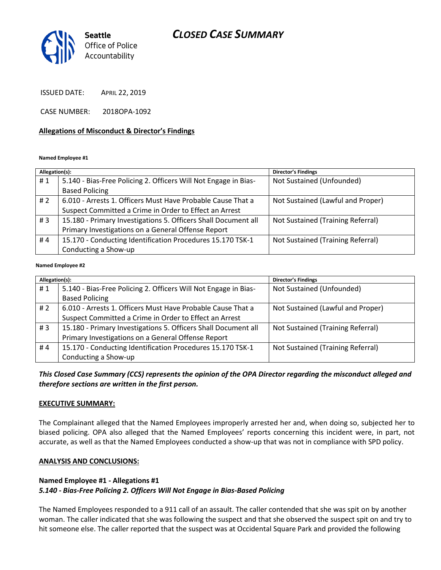# *CLOSED CASE SUMMARY*



ISSUED DATE: APRIL 22, 2019

CASE NUMBER: 2018OPA-1092

#### **Allegations of Misconduct & Director's Findings**

**Named Employee #1**

| Allegation(s): |                                                                 | Director's Findings               |
|----------------|-----------------------------------------------------------------|-----------------------------------|
| #1             | 5.140 - Bias-Free Policing 2. Officers Will Not Engage in Bias- | Not Sustained (Unfounded)         |
|                | <b>Based Policing</b>                                           |                                   |
| #2             | 6.010 - Arrests 1. Officers Must Have Probable Cause That a     | Not Sustained (Lawful and Proper) |
|                | Suspect Committed a Crime in Order to Effect an Arrest          |                                   |
| #3             | 15.180 - Primary Investigations 5. Officers Shall Document all  | Not Sustained (Training Referral) |
|                | Primary Investigations on a General Offense Report              |                                   |
| #4             | 15.170 - Conducting Identification Procedures 15.170 TSK-1      | Not Sustained (Training Referral) |
|                | Conducting a Show-up                                            |                                   |
|                |                                                                 |                                   |

#### **Named Employee #2**

| Allegation(s): |                                                                 | Director's Findings               |
|----------------|-----------------------------------------------------------------|-----------------------------------|
| #1             | 5.140 - Bias-Free Policing 2. Officers Will Not Engage in Bias- | Not Sustained (Unfounded)         |
|                | <b>Based Policing</b>                                           |                                   |
| #2             | 6.010 - Arrests 1. Officers Must Have Probable Cause That a     | Not Sustained (Lawful and Proper) |
|                | Suspect Committed a Crime in Order to Effect an Arrest          |                                   |
| #3             | 15.180 - Primary Investigations 5. Officers Shall Document all  | Not Sustained (Training Referral) |
|                | Primary Investigations on a General Offense Report              |                                   |
| #4             | 15.170 - Conducting Identification Procedures 15.170 TSK-1      | Not Sustained (Training Referral) |
|                | Conducting a Show-up                                            |                                   |

*This Closed Case Summary (CCS) represents the opinion of the OPA Director regarding the misconduct alleged and therefore sections are written in the first person.* 

#### **EXECUTIVE SUMMARY:**

The Complainant alleged that the Named Employees improperly arrested her and, when doing so, subjected her to biased policing. OPA also alleged that the Named Employees' reports concerning this incident were, in part, not accurate, as well as that the Named Employees conducted a show-up that was not in compliance with SPD policy.

#### **ANALYSIS AND CONCLUSIONS:**

#### **Named Employee #1 - Allegations #1**

## *5.140 - Bias-Free Policing 2. Officers Will Not Engage in Bias-Based Policing*

The Named Employees responded to a 911 call of an assault. The caller contended that she was spit on by another woman. The caller indicated that she was following the suspect and that she observed the suspect spit on and try to hit someone else. The caller reported that the suspect was at Occidental Square Park and provided the following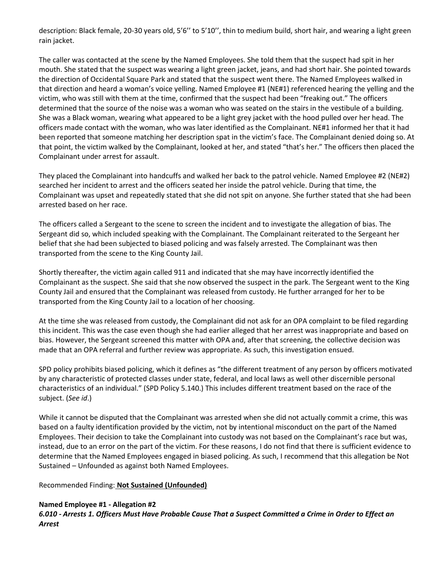description: Black female, 20-30 years old, 5'6'' to 5'10'', thin to medium build, short hair, and wearing a light green rain jacket.

The caller was contacted at the scene by the Named Employees. She told them that the suspect had spit in her mouth. She stated that the suspect was wearing a light green jacket, jeans, and had short hair. She pointed towards the direction of Occidental Square Park and stated that the suspect went there. The Named Employees walked in that direction and heard a woman's voice yelling. Named Employee #1 (NE#1) referenced hearing the yelling and the victim, who was still with them at the time, confirmed that the suspect had been "freaking out." The officers determined that the source of the noise was a woman who was seated on the stairs in the vestibule of a building. She was a Black woman, wearing what appeared to be a light grey jacket with the hood pulled over her head. The officers made contact with the woman, who was later identified as the Complainant. NE#1 informed her that it had been reported that someone matching her description spat in the victim's face. The Complainant denied doing so. At that point, the victim walked by the Complainant, looked at her, and stated "that's her." The officers then placed the Complainant under arrest for assault.

They placed the Complainant into handcuffs and walked her back to the patrol vehicle. Named Employee #2 (NE#2) searched her incident to arrest and the officers seated her inside the patrol vehicle. During that time, the Complainant was upset and repeatedly stated that she did not spit on anyone. She further stated that she had been arrested based on her race.

The officers called a Sergeant to the scene to screen the incident and to investigate the allegation of bias. The Sergeant did so, which included speaking with the Complainant. The Complainant reiterated to the Sergeant her belief that she had been subjected to biased policing and was falsely arrested. The Complainant was then transported from the scene to the King County Jail.

Shortly thereafter, the victim again called 911 and indicated that she may have incorrectly identified the Complainant as the suspect. She said that she now observed the suspect in the park. The Sergeant went to the King County Jail and ensured that the Complainant was released from custody. He further arranged for her to be transported from the King County Jail to a location of her choosing.

At the time she was released from custody, the Complainant did not ask for an OPA complaint to be filed regarding this incident. This was the case even though she had earlier alleged that her arrest was inappropriate and based on bias. However, the Sergeant screened this matter with OPA and, after that screening, the collective decision was made that an OPA referral and further review was appropriate. As such, this investigation ensued.

SPD policy prohibits biased policing, which it defines as "the different treatment of any person by officers motivated by any characteristic of protected classes under state, federal, and local laws as well other discernible personal characteristics of an individual." (SPD Policy 5.140.) This includes different treatment based on the race of the subject. (*See id*.)

While it cannot be disputed that the Complainant was arrested when she did not actually commit a crime, this was based on a faulty identification provided by the victim, not by intentional misconduct on the part of the Named Employees. Their decision to take the Complainant into custody was not based on the Complainant's race but was, instead, due to an error on the part of the victim. For these reasons, I do not find that there is sufficient evidence to determine that the Named Employees engaged in biased policing. As such, I recommend that this allegation be Not Sustained – Unfounded as against both Named Employees.

Recommended Finding: **Not Sustained (Unfounded)**

# **Named Employee #1 - Allegation #2**

*6.010 - Arrests 1. Officers Must Have Probable Cause That a Suspect Committed a Crime in Order to Effect an Arrest*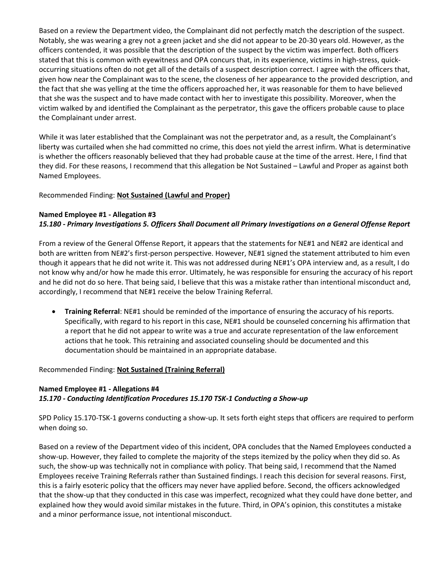Based on a review the Department video, the Complainant did not perfectly match the description of the suspect. Notably, she was wearing a grey not a green jacket and she did not appear to be 20-30 years old. However, as the officers contended, it was possible that the description of the suspect by the victim was imperfect. Both officers stated that this is common with eyewitness and OPA concurs that, in its experience, victims in high-stress, quickoccurring situations often do not get all of the details of a suspect description correct. I agree with the officers that, given how near the Complainant was to the scene, the closeness of her appearance to the provided description, and the fact that she was yelling at the time the officers approached her, it was reasonable for them to have believed that she was the suspect and to have made contact with her to investigate this possibility. Moreover, when the victim walked by and identified the Complainant as the perpetrator, this gave the officers probable cause to place the Complainant under arrest.

While it was later established that the Complainant was not the perpetrator and, as a result, the Complainant's liberty was curtailed when she had committed no crime, this does not yield the arrest infirm. What is determinative is whether the officers reasonably believed that they had probable cause at the time of the arrest. Here, I find that they did. For these reasons, I recommend that this allegation be Not Sustained – Lawful and Proper as against both Named Employees.

# Recommended Finding: **Not Sustained (Lawful and Proper)**

#### **Named Employee #1 - Allegation #3**

# *15.180 - Primary Investigations 5. Officers Shall Document all Primary Investigations on a General Offense Report*

From a review of the General Offense Report, it appears that the statements for NE#1 and NE#2 are identical and both are written from NE#2's first-person perspective. However, NE#1 signed the statement attributed to him even though it appears that he did not write it. This was not addressed during NE#1's OPA interview and, as a result, I do not know why and/or how he made this error. Ultimately, he was responsible for ensuring the accuracy of his report and he did not do so here. That being said, I believe that this was a mistake rather than intentional misconduct and, accordingly, I recommend that NE#1 receive the below Training Referral.

• **Training Referral**: NE#1 should be reminded of the importance of ensuring the accuracy of his reports. Specifically, with regard to his report in this case, NE#1 should be counseled concerning his affirmation that a report that he did not appear to write was a true and accurate representation of the law enforcement actions that he took. This retraining and associated counseling should be documented and this documentation should be maintained in an appropriate database.

#### Recommended Finding: **Not Sustained (Training Referral)**

# **Named Employee #1 - Allegations #4** *15.170 - Conducting Identification Procedures 15.170 TSK-1 Conducting a Show-up*

SPD Policy 15.170-TSK-1 governs conducting a show-up. It sets forth eight steps that officers are required to perform when doing so.

Based on a review of the Department video of this incident, OPA concludes that the Named Employees conducted a show-up. However, they failed to complete the majority of the steps itemized by the policy when they did so. As such, the show-up was technically not in compliance with policy. That being said, I recommend that the Named Employees receive Training Referrals rather than Sustained findings. I reach this decision for several reasons. First, this is a fairly esoteric policy that the officers may never have applied before. Second, the officers acknowledged that the show-up that they conducted in this case was imperfect, recognized what they could have done better, and explained how they would avoid similar mistakes in the future. Third, in OPA's opinion, this constitutes a mistake and a minor performance issue, not intentional misconduct.